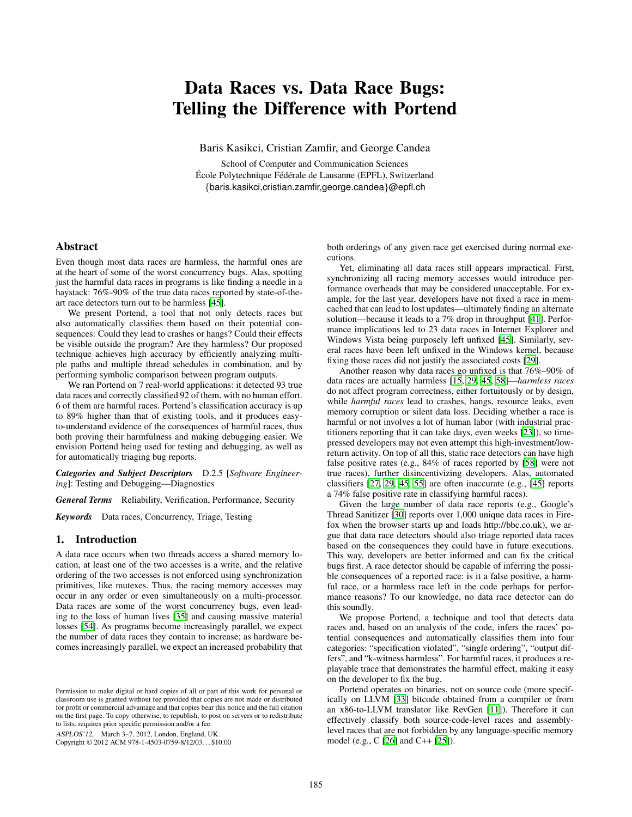# Data Races vs. Data Race Bugs: Telling the Difference with Portend

Baris Kasikci, Cristian Zamfir, and George Candea

School of Computer and Communication Sciences École Polytechnique Fédérale de Lausanne (EPFL), Switzerland {baris.kasikci,cristian.zamfir,george.candea}@epfl.ch

# Abstract

Even though most data races are harmless, the harmful ones are at the heart of some of the worst concurrency bugs. Alas, spotting just the harmful data races in programs is like finding a needle in a haystack: 76%-90% of the true data races reported by state-of-theart race detectors turn out to be harmless [\[45\]](#page-13-0).

We present Portend, a tool that not only detects races but also automatically classifies them based on their potential consequences: Could they lead to crashes or hangs? Could their effects be visible outside the program? Are they harmless? Our proposed technique achieves high accuracy by efficiently analyzing multiple paths and multiple thread schedules in combination, and by performing symbolic comparison between program outputs.

We ran Portend on 7 real-world applications: it detected 93 true data races and correctly classified 92 of them, with no human effort. 6 of them are harmful races. Portend's classification accuracy is up to 89% higher than that of existing tools, and it produces easyto-understand evidence of the consequences of harmful races, thus both proving their harmfulness and making debugging easier. We envision Portend being used for testing and debugging, as well as for automatically triaging bug reports.

*Categories and Subject Descriptors* D.2.5 [*Software Engineering*]: Testing and Debugging—Diagnostics

*General Terms* Reliability, Verification, Performance, Security

*Keywords* Data races, Concurrency, Triage, Testing

## <span id="page-0-0"></span>1. Introduction

A data race occurs when two threads access a shared memory location, at least one of the two accesses is a write, and the relative ordering of the two accesses is not enforced using synchronization primitives, like mutexes. Thus, the racing memory accesses may occur in any order or even simultaneously on a multi-processor. Data races are some of the worst concurrency bugs, even leading to the loss of human lives [\[35](#page-13-1)] and causing massive material losses [\[54](#page-13-2)]. As programs become increasingly parallel, we expect the number of data races they contain to increase; as hardware becomes increasingly parallel, we expect an increased probability that

ASPLOS'12, March 3–7, 2012, London, England, UK.

Copyright © 2012 ACM 978-1-4503-0759-8/12/03. . . \$10.00

both orderings of any given race get exercised during normal executions.

Yet, eliminating all data races still appears impractical. First, synchronizing all racing memory accesses would introduce performance overheads that may be considered unacceptable. For example, for the last year, developers have not fixed a race in memcached that can lead to lost updates—ultimately finding an alternate solution—because it leads to a 7% drop in throughput [\[41](#page-13-3)]. Performance implications led to 23 data races in Internet Explorer and Windows Vista being purposely left unfixed [\[45\]](#page-13-0). Similarly, several races have been left unfixed in the Windows kernel, because fixing those races did not justify the associated costs [\[29\]](#page-13-4).

Another reason why data races go unfixed is that 76%–90% of data races are actually harmless [\[15](#page-12-0), [29,](#page-13-4) [45,](#page-13-0) [58\]](#page-13-5)—*harmless races* do not affect program correctness, either fortuitously or by design, while *harmful races* lead to crashes, hangs, resource leaks, even memory corruption or silent data loss. Deciding whether a race is harmful or not involves a lot of human labor (with industrial practitioners reporting that it can take days, even weeks [\[23](#page-13-6)]), so timepressed developers may not even attempt this high-investment/lowreturn activity. On top of all this, static race detectors can have high false positive rates (e.g., 84% of races reported by [\[58](#page-13-5)] were not true races), further disincentivizing developers. Alas, automated classifiers [\[27](#page-13-7), [29,](#page-13-4) [45](#page-13-0), [55](#page-13-8)] are often inaccurate (e.g., [\[45](#page-13-0)] reports a 74% false positive rate in classifying harmful races).

Given the large number of data race reports (e.g., Google's Thread Sanitizer [\[30](#page-13-9)] reports over 1,000 unique data races in Firefox when the browser starts up and loads http://bbc.co.uk), we argue that data race detectors should also triage reported data races based on the consequences they could have in future executions. This way, developers are better informed and can fix the critical bugs first. A race detector should be capable of inferring the possible consequences of a reported race: is it a false positive, a harmful race, or a harmless race left in the code perhaps for performance reasons? To our knowledge, no data race detector can do this soundly.

We propose Portend, a technique and tool that detects data races and, based on an analysis of the code, infers the races' potential consequences and automatically classifies them into four categories: "specification violated", "single ordering", "output differs", and "k-witness harmless". For harmful races, it produces a replayable trace that demonstrates the harmful effect, making it easy on the developer to fix the bug.

Portend operates on binaries, not on source code (more specifically on LLVM [\[33](#page-13-10)] bitcode obtained from a compiler or from an x86-to-LLVM translator like RevGen [\[11\]](#page-12-1)). Therefore it can effectively classify both source-code-level races and assemblylevel races that are not forbidden by any language-specific memory model (e.g., C [\[26](#page-13-11)] and C++ [\[25\]](#page-13-12)).

Permission to make digital or hard copies of all or part of this work for personal or classroom use is granted without fee provided that copies are not made or distributed for profit or commercial advantage and that copies bear this notice and the full citation on the first page. To copy otherwise, to republish, to post on servers or to redistribute to lists, requires prior specific permission and/or a fee.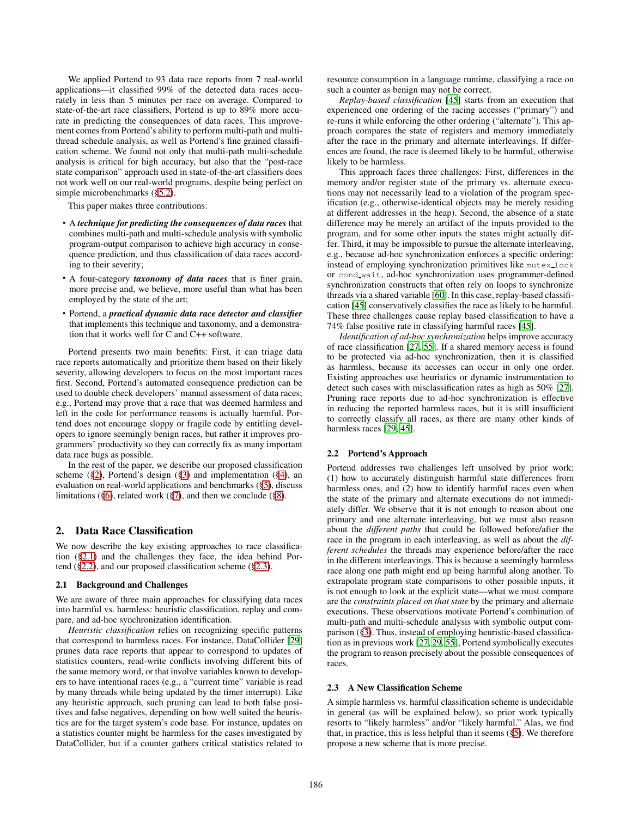We applied Portend to 93 data race reports from 7 real-world applications—it classified 99% of the detected data races accurately in less than 5 minutes per race on average. Compared to state-of-the-art race classifiers, Portend is up to 89% more accurate in predicting the consequences of data races. This improvement comes from Portend's ability to perform multi-path and multithread schedule analysis, as well as Portend's fine grained classification scheme. We found not only that multi-path multi-schedule analysis is critical for high accuracy, but also that the "post-race state comparison" approach used in state-of-the-art classifiers does not work well on our real-world programs, despite being perfect on simple microbenchmarks ([§5.2\)](#page-8-0).

This paper makes three contributions:

- A *technique for predicting the consequences of data races* that combines multi-path and multi-schedule analysis with symbolic program-output comparison to achieve high accuracy in consequence prediction, and thus classification of data races according to their severity;
- A four-category *taxonomy of data races* that is finer grain, more precise and, we believe, more useful than what has been employed by the state of the art;
- Portend, a *practical dynamic data race detector and classifier* that implements this technique and taxonomy, and a demonstration that it works well for C and C++ software.

Portend presents two main benefits: First, it can triage data race reports automatically and prioritize them based on their likely severity, allowing developers to focus on the most important races first. Second, Portend's automated consequence prediction can be used to double check developers' manual assessment of data races; e.g., Portend may prove that a race that was deemed harmless and left in the code for performance reasons is actually harmful. Portend does not encourage sloppy or fragile code by entitling developers to ignore seemingly benign races, but rather it improves programmers' productivity so they can correctly fix as many important data race bugs as possible.

In the rest of the paper, we describe our proposed classification scheme ([§2\)](#page-1-0), Portend's design ([§3\)](#page-2-0) and implementation ([§4\)](#page-7-0), an evaluation on real-world applications and benchmarks ([§5\)](#page-7-1), discuss limitations ([§6\)](#page-11-0), related work ([§7\)](#page-11-1), and then we conclude ([§8\)](#page-12-2).

## <span id="page-1-0"></span>2. Data Race Classification

We now describe the key existing approaches to race classification ([§2.1\)](#page-1-1) and the challenges they face, the idea behind Portend ([§2.2\)](#page-1-2), and our proposed classification scheme ([§2.3\)](#page-1-3).

## <span id="page-1-1"></span>2.1 Background and Challenges

We are aware of three main approaches for classifying data races into harmful vs. harmless: heuristic classification, replay and compare, and ad-hoc synchronization identification.

*Heuristic classification* relies on recognizing specific patterns that correspond to harmless races. For instance, DataCollider [\[29](#page-13-4)] prunes data race reports that appear to correspond to updates of statistics counters, read-write conflicts involving different bits of the same memory word, or that involve variables known to developers to have intentional races (e.g., a "current time" variable is read by many threads while being updated by the timer interrupt). Like any heuristic approach, such pruning can lead to both false positives and false negatives, depending on how well suited the heuristics are for the target system's code base. For instance, updates on a statistics counter might be harmless for the cases investigated by DataCollider, but if a counter gathers critical statistics related to resource consumption in a language runtime, classifying a race on such a counter as benign may not be correct.

*Replay-based classification* [\[45\]](#page-13-0) starts from an execution that experienced one ordering of the racing accesses ("primary") and re-runs it while enforcing the other ordering ("alternate"). This approach compares the state of registers and memory immediately after the race in the primary and alternate interleavings. If differences are found, the race is deemed likely to be harmful, otherwise likely to be harmless.

This approach faces three challenges: First, differences in the memory and/or register state of the primary vs. alternate executions may not necessarily lead to a violation of the program specification (e.g., otherwise-identical objects may be merely residing at different addresses in the heap). Second, the absence of a state difference may be merely an artifact of the inputs provided to the program, and for some other inputs the states might actually differ. Third, it may be impossible to pursue the alternate interleaving, e.g., because ad-hoc synchronization enforces a specific ordering: instead of employing synchronization primitives like mutex lock or cond wait, ad-hoc synchronization uses programmer-defined synchronization constructs that often rely on loops to synchronize threads via a shared variable [\[60](#page-13-13)]. In this case, replay-based classification [\[45\]](#page-13-0) conservatively classifies the race as likely to be harmful. These three challenges cause replay based classification to have a 74% false positive rate in classifying harmful races [\[45](#page-13-0)].

*Identification of ad-hoc synchronization* helps improve accuracy of race classification [\[27,](#page-13-7) [55\]](#page-13-8). If a shared memory access is found to be protected via ad-hoc synchronization, then it is classified as harmless, because its accesses can occur in only one order. Existing approaches use heuristics or dynamic instrumentation to detect such cases with misclassification rates as high as 50% [\[27\]](#page-13-7). Pruning race reports due to ad-hoc synchronization is effective in reducing the reported harmless races, but it is still insufficient to correctly classify all races, as there are many other kinds of harmless races [\[29,](#page-13-4) [45](#page-13-0)].

#### <span id="page-1-2"></span>2.2 Portend's Approach

Portend addresses two challenges left unsolved by prior work: (1) how to accurately distinguish harmful state differences from harmless ones, and (2) how to identify harmful races even when the state of the primary and alternate executions do not immediately differ. We observe that it is not enough to reason about one primary and one alternate interleaving, but we must also reason about the *different paths* that could be followed before/after the race in the program in each interleaving, as well as about the *different schedules* the threads may experience before/after the race in the different interleavings. This is because a seemingly harmless race along one path might end up being harmful along another. To extrapolate program state comparisons to other possible inputs, it is not enough to look at the explicit state—what we must compare are the *constraints placed on that state* by the primary and alternate executions. These observations motivate Portend's combination of multi-path and multi-schedule analysis with symbolic output comparison ([§3\)](#page-2-0). Thus, instead of employing heuristic-based classification as in previous work [\[27,](#page-13-7) [29,](#page-13-4) [55\]](#page-13-8), Portend symbolically executes the program to reason precisely about the possible consequences of races.

#### <span id="page-1-3"></span>2.3 A New Classification Scheme

A simple harmless vs. harmful classification scheme is undecidable in general (as will be explained below), so prior work typically resorts to "likely harmless" and/or "likely harmful." Alas, we find that, in practice, this is less helpful than it seems ([§5\)](#page-7-1). We therefore propose a new scheme that is more precise.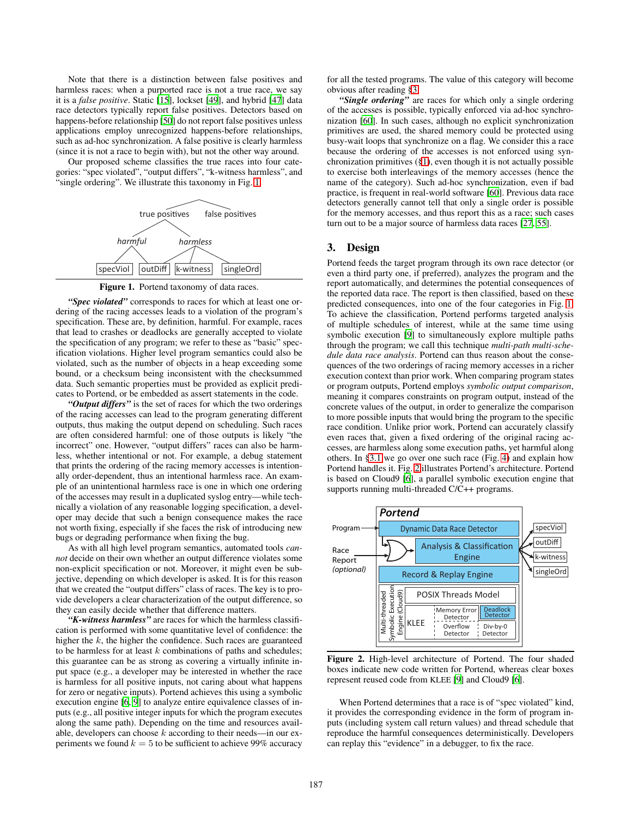Note that there is a distinction between false positives and harmless races: when a purported race is not a true race, we say it is a *false positive*. Static [\[15\]](#page-12-0), lockset [\[49](#page-13-14)], and hybrid [\[47\]](#page-13-15) data race detectors typically report false positives. Detectors based on happens-before relationship [\[50](#page-13-16)] do not report false positives unless applications employ unrecognized happens-before relationships, such as ad-hoc synchronization. A false positive is clearly harmless (since it is not a race to begin with), but not the other way around.

Our proposed scheme classifies the true races into four categories: "spec violated", "output differs", "k-witness harmless", and "single ordering". We illustrate this taxonomy in Fig. [1.](#page-2-1)



<span id="page-2-1"></span>Figure 1. Portend taxonomy of data races.

*"Spec violated"* corresponds to races for which at least one ordering of the racing accesses leads to a violation of the program's specification. These are, by definition, harmful. For example, races that lead to crashes or deadlocks are generally accepted to violate the specification of any program; we refer to these as "basic" specification violations. Higher level program semantics could also be violated, such as the number of objects in a heap exceeding some bound, or a checksum being inconsistent with the checksummed data. Such semantic properties must be provided as explicit predicates to Portend, or be embedded as assert statements in the code.

*"Output differs"* is the set of races for which the two orderings of the racing accesses can lead to the program generating different outputs, thus making the output depend on scheduling. Such races are often considered harmful: one of those outputs is likely "the incorrect" one. However, "output differs" races can also be harmless, whether intentional or not. For example, a debug statement that prints the ordering of the racing memory accesses is intentionally order-dependent, thus an intentional harmless race. An example of an unintentional harmless race is one in which one ordering of the accesses may result in a duplicated syslog entry—while technically a violation of any reasonable logging specification, a developer may decide that such a benign consequence makes the race not worth fixing, especially if she faces the risk of introducing new bugs or degrading performance when fixing the bug.

As with all high level program semantics, automated tools *cannot* decide on their own whether an output difference violates some non-explicit specification or not. Moreover, it might even be subjective, depending on which developer is asked. It is for this reason that we created the "output differs" class of races. The key is to provide developers a clear characterization of the output difference, so they can easily decide whether that difference matters.

*"K-witness harmless"* are races for which the harmless classification is performed with some quantitative level of confidence: the higher the  $k$ , the higher the confidence. Such races are guaranteed to be harmless for at least  $k$  combinations of paths and schedules; this guarantee can be as strong as covering a virtually infinite input space (e.g., a developer may be interested in whether the race is harmless for all positive inputs, not caring about what happens for zero or negative inputs). Portend achieves this using a symbolic execution engine [\[6,](#page-12-3) [9\]](#page-12-4) to analyze entire equivalence classes of inputs (e.g., all positive integer inputs for which the program executes along the same path). Depending on the time and resources available, developers can choose  $k$  according to their needs—in our experiments we found  $k = 5$  to be sufficient to achieve 99% accuracy

for all the tested programs. The value of this category will become obvious after reading [§3.](#page-2-0)

*"Single ordering"* are races for which only a single ordering of the accesses is possible, typically enforced via ad-hoc synchronization [\[60\]](#page-13-13). In such cases, although no explicit synchronization primitives are used, the shared memory could be protected using busy-wait loops that synchronize on a flag. We consider this a race because the ordering of the accesses is not enforced using synchronization primitives ([§1\)](#page-0-0), even though it is not actually possible to exercise both interleavings of the memory accesses (hence the name of the category). Such ad-hoc synchronization, even if bad practice, is frequent in real-world software [\[60](#page-13-13)]. Previous data race detectors generally cannot tell that only a single order is possible for the memory accesses, and thus report this as a race; such cases turn out to be a major source of harmless data races [\[27,](#page-13-7) [55](#page-13-8)].

# <span id="page-2-0"></span>3. Design

Portend feeds the target program through its own race detector (or even a third party one, if preferred), analyzes the program and the report automatically, and determines the potential consequences of the reported data race. The report is then classified, based on these predicted consequences, into one of the four categories in Fig. [1.](#page-2-1) To achieve the classification, Portend performs targeted analysis of multiple schedules of interest, while at the same time using symbolic execution [\[9\]](#page-12-4) to simultaneously explore multiple paths through the program; we call this technique *multi-path multi-schedule data race analysis*. Portend can thus reason about the consequences of the two orderings of racing memory accesses in a richer execution context than prior work. When comparing program states or program outputs, Portend employs *symbolic output comparison*, meaning it compares constraints on program output, instead of the concrete values of the output, in order to generalize the comparison to more possible inputs that would bring the program to the specific race condition. Unlike prior work, Portend can accurately classify even races that, given a fixed ordering of the original racing accesses, are harmless along some execution paths, yet harmful along others. In [§3.1](#page-3-0) we go over one such race (Fig. [4\)](#page-4-0) and explain how Portend handles it. Fig. [2](#page-2-2) illustrates Portend's architecture. Portend is based on Cloud9 [\[6\]](#page-12-3), a parallel symbolic execution engine that supports running multi-threaded C/C++ programs.



<span id="page-2-2"></span>Figure 2. High-level architecture of Portend. The four shaded boxes indicate new code written for Portend, whereas clear boxes represent reused code from KLEE [\[9\]](#page-12-4) and Cloud9 [\[6](#page-12-3)].

When Portend determines that a race is of "spec violated" kind, it provides the corresponding evidence in the form of program inputs (including system call return values) and thread schedule that reproduce the harmful consequences deterministically. Developers can replay this "evidence" in a debugger, to fix the race.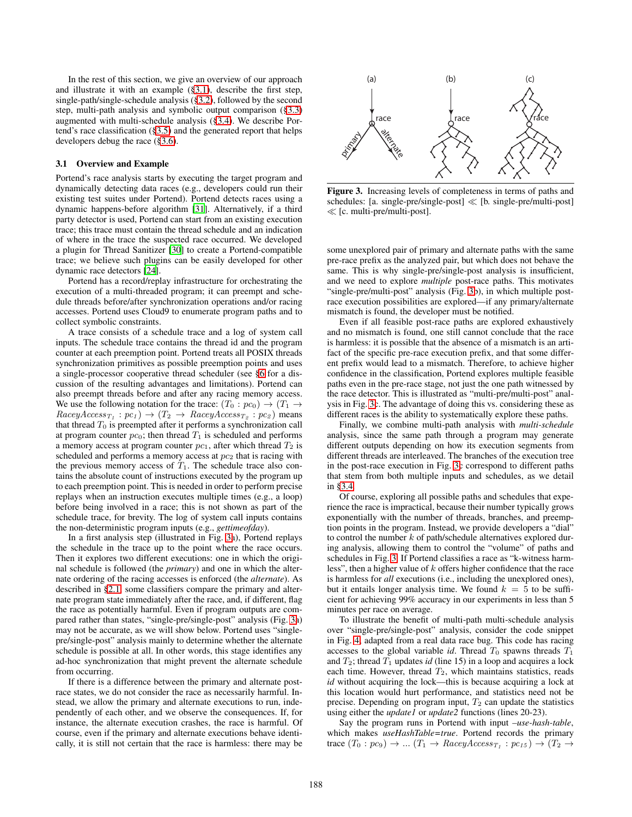In the rest of this section, we give an overview of our approach and illustrate it with an example ([§3.1\)](#page-3-0), describe the first step, single-path/single-schedule analysis ([§3.2\)](#page-4-1), followed by the second step, multi-path analysis and symbolic output comparison ([§3.3\)](#page-5-0) augmented with multi-schedule analysis ([§3.4\)](#page-6-0). We describe Portend's race classification ([§3.5\)](#page-6-1) and the generated report that helps developers debug the race ([§3.6\)](#page-7-2).

#### <span id="page-3-0"></span>3.1 Overview and Example

Portend's race analysis starts by executing the target program and dynamically detecting data races (e.g., developers could run their existing test suites under Portend). Portend detects races using a dynamic happens-before algorithm [\[31](#page-13-17)]. Alternatively, if a third party detector is used, Portend can start from an existing execution trace; this trace must contain the thread schedule and an indication of where in the trace the suspected race occurred. We developed a plugin for Thread Sanitizer [\[30](#page-13-9)] to create a Portend-compatible trace; we believe such plugins can be easily developed for other dynamic race detectors [\[24\]](#page-13-18).

Portend has a record/replay infrastructure for orchestrating the execution of a multi-threaded program; it can preempt and schedule threads before/after synchronization operations and/or racing accesses. Portend uses Cloud9 to enumerate program paths and to collect symbolic constraints.

A trace consists of a schedule trace and a log of system call inputs. The schedule trace contains the thread id and the program counter at each preemption point. Portend treats all POSIX threads synchronization primitives as possible preemption points and uses a single-processor cooperative thread scheduler (see [§6](#page-11-0) for a discussion of the resulting advantages and limitations). Portend can also preempt threads before and after any racing memory access. We use the following notation for the trace:  $(T_0: p c_0) \rightarrow (T_1 \rightarrow$  $RaceyAccess_{T_1}: pc_1) \rightarrow (T_2 \rightarrow RaceyAccess_{T_2}: pc_2)$  means that thread  $T_0$  is preempted after it performs a synchronization call at program counter  $pc_0$ ; then thread  $T_1$  is scheduled and performs a memory access at program counter  $pc_1$ , after which thread  $T_2$  is scheduled and performs a memory access at  $pc<sub>2</sub>$  that is racing with the previous memory access of  $T_1$ . The schedule trace also contains the absolute count of instructions executed by the program up to each preemption point. This is needed in order to perform precise replays when an instruction executes multiple times (e.g., a loop) before being involved in a race; this is not shown as part of the schedule trace, for brevity. The log of system call inputs contains the non-deterministic program inputs (e.g., *gettimeofday*).

In a first analysis step (illustrated in Fig. [3a](#page-3-1)), Portend replays the schedule in the trace up to the point where the race occurs. Then it explores two different executions: one in which the original schedule is followed (the *primary*) and one in which the alternate ordering of the racing accesses is enforced (the *alternate*). As described in [§2.1,](#page-1-1) some classifiers compare the primary and alternate program state immediately after the race, and, if different, flag the race as potentially harmful. Even if program outputs are compared rather than states, "single-pre/single-post" analysis (Fig. [3a](#page-3-1)) may not be accurate, as we will show below. Portend uses "singlepre/single-post" analysis mainly to determine whether the alternate schedule is possible at all. In other words, this stage identifies any ad-hoc synchronization that might prevent the alternate schedule from occurring.

If there is a difference between the primary and alternate postrace states, we do not consider the race as necessarily harmful. Instead, we allow the primary and alternate executions to run, independently of each other, and we observe the consequences. If, for instance, the alternate execution crashes, the race is harmful. Of course, even if the primary and alternate executions behave identically, it is still not certain that the race is harmless: there may be



<span id="page-3-1"></span>Figure 3. Increasing levels of completeness in terms of paths and schedules: [a. single-pre/single-post] ≪ [b. single-pre/multi-post]  $\ll$  [c. multi-pre/multi-post].

some unexplored pair of primary and alternate paths with the same pre-race prefix as the analyzed pair, but which does not behave the same. This is why single-pre/single-post analysis is insufficient, and we need to explore *multiple* post-race paths. This motivates "single-pre/multi-post" analysis (Fig. [3b](#page-3-1)), in which multiple postrace execution possibilities are explored—if any primary/alternate mismatch is found, the developer must be notified.

Even if all feasible post-race paths are explored exhaustively and no mismatch is found, one still cannot conclude that the race is harmless: it is possible that the absence of a mismatch is an artifact of the specific pre-race execution prefix, and that some different prefix would lead to a mismatch. Therefore, to achieve higher confidence in the classification, Portend explores multiple feasible paths even in the pre-race stage, not just the one path witnessed by the race detector. This is illustrated as "multi-pre/multi-post" analysis in Fig. [3c](#page-3-1). The advantage of doing this vs. considering these as different races is the ability to systematically explore these paths.

Finally, we combine multi-path analysis with *multi-schedule* analysis, since the same path through a program may generate different outputs depending on how its execution segments from different threads are interleaved. The branches of the execution tree in the post-race execution in Fig. [3c](#page-3-1) correspond to different paths that stem from both multiple inputs and schedules, as we detail in [§3.4.](#page-6-0)

Of course, exploring all possible paths and schedules that experience the race is impractical, because their number typically grows exponentially with the number of threads, branches, and preemption points in the program. Instead, we provide developers a "dial" to control the number  $k$  of path/schedule alternatives explored during analysis, allowing them to control the "volume" of paths and schedules in Fig. [3.](#page-3-1) If Portend classifies a race as "k-witness harmless", then a higher value of k offers higher confidence that the race is harmless for *all* executions (i.e., including the unexplored ones), but it entails longer analysis time. We found  $k = 5$  to be sufficient for achieving 99% accuracy in our experiments in less than 5 minutes per race on average.

To illustrate the benefit of multi-path multi-schedule analysis over "single-pre/single-post" analysis, consider the code snippet in Fig. [4,](#page-4-0) adapted from a real data race bug. This code has racing accesses to the global variable *id*. Thread  $T_0$  spawns threads  $T_1$ and  $T_2$ ; thread  $T_1$  updates *id* (line 15) in a loop and acquires a lock each time. However, thread  $T_2$ , which maintains statistics, reads *id* without acquiring the lock—this is because acquiring a lock at this location would hurt performance, and statistics need not be precise. Depending on program input,  $T_2$  can update the statistics using either the *update1* or *update2* functions (lines 20-23).

Say the program runs in Portend with input *–use-hash-table*, which makes *useHashTable=true*. Portend records the primary trace  $(T_0:pc_9) \rightarrow ... (T_1 \rightarrow RaceyAccess_{T_1}:pc_{15}) \rightarrow (T_2 \rightarrow$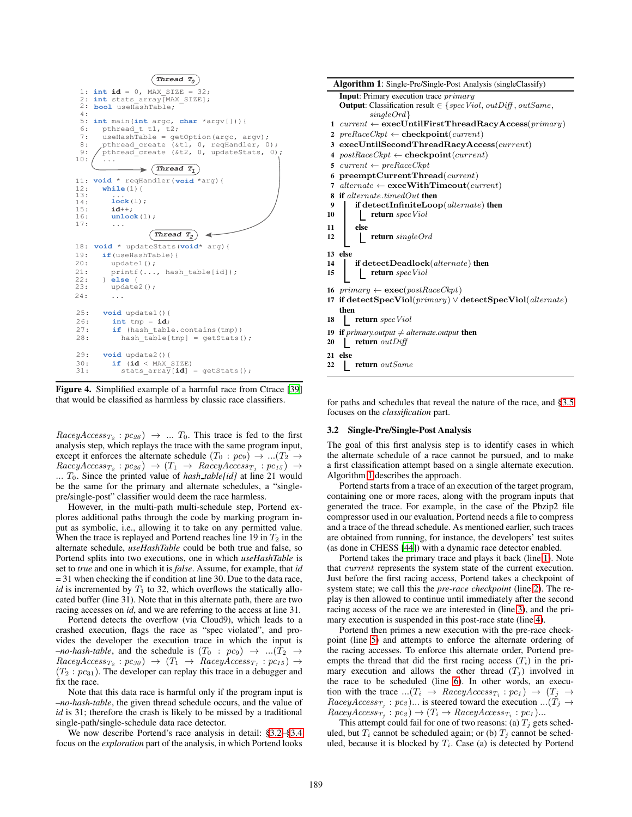

<span id="page-4-0"></span>Figure 4. Simplified example of a harmful race from Ctrace [\[39](#page-13-19)] that would be classified as harmless by classic race classifiers.

 $RaceyAccess_{T_2}: pc_{26}$   $\rightarrow$  ...  $T_0$ . This trace is fed to the first analysis step, which replays the trace with the same program input, except it enforces the alternate schedule  $(T_0 : pc_9) \rightarrow ... (T_2 \rightarrow$  $RaceyAccess_{T_2} : pc_{26}) \rightarrow (T_1 \rightarrow RaceyAccess_{T_1} : pc_{15}) \rightarrow$ ... T0. Since the printed value of *hash table[id]* at line 21 would be the same for the primary and alternate schedules, a "singlepre/single-post" classifier would deem the race harmless.

However, in the multi-path multi-schedule step, Portend explores additional paths through the code by marking program input as symbolic, i.e., allowing it to take on any permitted value. When the trace is replayed and Portend reaches line 19 in  $T_2$  in the alternate schedule, *useHashTable* could be both true and false, so Portend splits into two executions, one in which *useHashTable* is set to *true* and one in which it is *false*. Assume, for example, that *id* = 31 when checking the if condition at line 30. Due to the data race, *id* is incremented by  $T_1$  to 32, which overflows the statically allocated buffer (line 31). Note that in this alternate path, there are two racing accesses on *id*, and we are referring to the access at line 31.

Portend detects the overflow (via Cloud9), which leads to a crashed execution, flags the race as "spec violated", and provides the developer the execution trace in which the input is  $-p_0$ -hash-table, and the schedule is  $(T_0 : p c_9) \rightarrow ... (T_2 \rightarrow$  $RaceyAccess_{T_2}: pc_{30}) \rightarrow (T_1 \rightarrow RaceyAccess_{T_1}: pc_{15}) \rightarrow$  $(T_2:pc_{31})$ . The developer can replay this trace in a debugger and fix the race.

Note that this data race is harmful only if the program input is *–no-hash-table*, the given thread schedule occurs, and the value of *id* is 31; therefore the crash is likely to be missed by a traditional single-path/single-schedule data race detector.

We now describe Portend's race analysis in detail: [§3.2–](#page-4-1)[§3.4](#page-6-0) focus on the *exploration* part of the analysis, in which Portend looks

<span id="page-4-11"></span><span id="page-4-10"></span><span id="page-4-9"></span><span id="page-4-8"></span><span id="page-4-7"></span><span id="page-4-6"></span><span id="page-4-5"></span><span id="page-4-4"></span><span id="page-4-3"></span>

| Algorithm 1: Single-Pre/Single-Post Analysis (singleClassify)                   |
|---------------------------------------------------------------------------------|
| <b>Input:</b> Primary execution trace <i>primary</i>                            |
| <b>Output:</b> Classification result $\in$ { <i>specViol, outDiff, outSame,</i> |
| singleOrd                                                                       |
| 1 current $\leftarrow$ execUntilFirstThreadRacyAccess(primary)                  |
| 2 preRaceCkpt $\leftarrow$ checkpoint(current)                                  |
| 3 execUntilSecondThreadRacyAccess(current)                                      |
| 4 $postRaceCkpt \leftarrow \textbf{checkpoint}(current)$                        |
| 5 current $\leftarrow preRaceCkpt$                                              |
| 6 $preemptCurrentThread(current)$                                               |
| $\mathit{alternate} \leftarrow \mathbf{execWithTimeout}(\mathit{current})$<br>7 |
| <b>if</b> alternate timed Out <b>then</b><br>8                                  |
| if detectInfiniteLoop( $\textit{alternate}$ ) then<br>9<br>10                   |
| return spec Viol                                                                |
| else<br>11                                                                      |
| return $singleOrd$<br>12                                                        |
| 13 else                                                                         |
| if detectDeadlock( <i>alternate</i> ) then<br>14                                |
| return spec Viol<br>15                                                          |
|                                                                                 |
| 16 primary $\leftarrow$ exec(postRaceCkpt)                                      |
| 17 if detectSpecViol(primary) $\vee$ detectSpecViol(alternate)                  |
| then                                                                            |
| <b>return</b> spec $Viol$<br>18                                                 |
| 19 if primary output $\neq$ alternate output then                               |
| return $outDiff$<br>20                                                          |
| 21 else                                                                         |
| <b>return</b> outSame<br>22                                                     |
|                                                                                 |

<span id="page-4-14"></span><span id="page-4-13"></span><span id="page-4-12"></span><span id="page-4-2"></span>for paths and schedules that reveal the nature of the race, and [§3.5](#page-6-1) focuses on the *classification* part.

## <span id="page-4-1"></span>3.2 Single-Pre/Single-Post Analysis

The goal of this first analysis step is to identify cases in which the alternate schedule of a race cannot be pursued, and to make a first classification attempt based on a single alternate execution. Algorithm [1](#page-4-2) describes the approach.

Portend starts from a trace of an execution of the target program, containing one or more races, along with the program inputs that generated the trace. For example, in the case of the Pbzip2 file compressor used in our evaluation, Portend needs a file to compress and a trace of the thread schedule. As mentioned earlier, such traces are obtained from running, for instance, the developers' test suites (as done in CHESS [\[44\]](#page-13-20)) with a dynamic race detector enabled.

Portend takes the primary trace and plays it back (line [1\)](#page-4-3). Note that current represents the system state of the current execution. Just before the first racing access, Portend takes a checkpoint of system state; we call this the *pre-race checkpoint* (line [2\)](#page-4-4). The replay is then allowed to continue until immediately after the second racing access of the race we are interested in (line [3\)](#page-4-5), and the primary execution is suspended in this post-race state (line [4\)](#page-4-6).

Portend then primes a new execution with the pre-race checkpoint (line [5\)](#page-4-7) and attempts to enforce the alternate ordering of the racing accesses. To enforce this alternate order, Portend preempts the thread that did the first racing access  $(T_i)$  in the primary execution and allows the other thread  $(T_j)$  involved in the race to be scheduled (line [6\)](#page-4-8). In other words, an execution with the trace  $...(T_i \rightarrow RaceyAccess_{T_i} : pc_1) \rightarrow (T_j \rightarrow$  $RaceyAccess_{T_j}: pc_2$ )... is steered toward the execution ...( $T_j \rightarrow$  $RaceyAccess_{T_j}: pc_2) \rightarrow (T_i \rightarrow RaceyAccess_{T_i}: pc_1) \dots$ 

This attempt could fail for one of two reasons: (a)  $T_i$  gets scheduled, but  $T_i$  cannot be scheduled again; or (b)  $T_j$  cannot be scheduled, because it is blocked by  $T_i$ . Case (a) is detected by Portend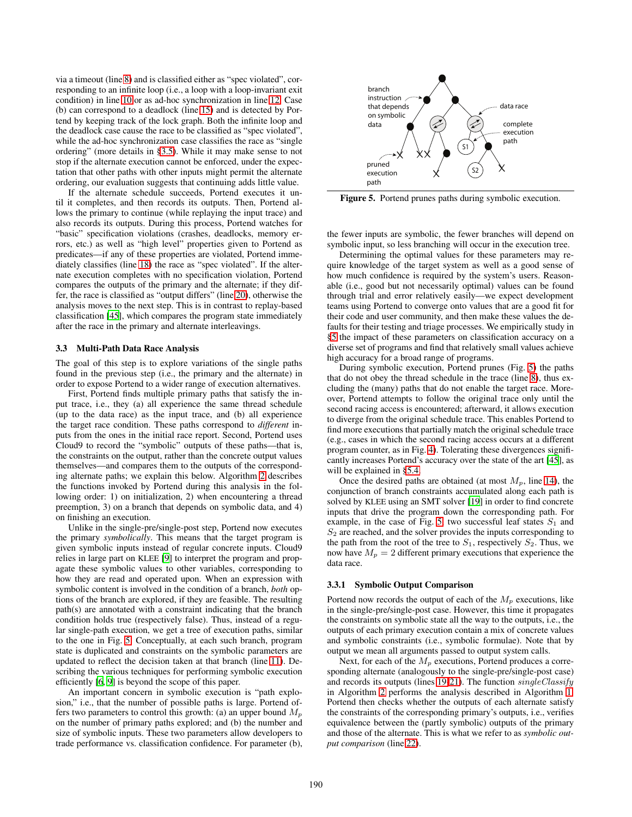via a timeout (line [8\)](#page-4-9) and is classified either as "spec violated", corresponding to an infinite loop (i.e., a loop with a loop-invariant exit condition) in line [10](#page-4-10) or as ad-hoc synchronization in line [12.](#page-4-11) Case (b) can correspond to a deadlock (line [15\)](#page-4-12) and is detected by Portend by keeping track of the lock graph. Both the infinite loop and the deadlock case cause the race to be classified as "spec violated", while the ad-hoc synchronization case classifies the race as "single ordering" (more details in [§3.5\)](#page-6-1). While it may make sense to not stop if the alternate execution cannot be enforced, under the expectation that other paths with other inputs might permit the alternate ordering, our evaluation suggests that continuing adds little value.

If the alternate schedule succeeds, Portend executes it until it completes, and then records its outputs. Then, Portend allows the primary to continue (while replaying the input trace) and also records its outputs. During this process, Portend watches for "basic" specification violations (crashes, deadlocks, memory errors, etc.) as well as "high level" properties given to Portend as predicates—if any of these properties are violated, Portend immediately classifies (line [18\)](#page-4-13) the race as "spec violated". If the alternate execution completes with no specification violation, Portend compares the outputs of the primary and the alternate; if they differ, the race is classified as "output differs" (line [20\)](#page-4-14), otherwise the analysis moves to the next step. This is in contrast to replay-based classification [\[45](#page-13-0)], which compares the program state immediately after the race in the primary and alternate interleavings.

#### <span id="page-5-0"></span>3.3 Multi-Path Data Race Analysis

The goal of this step is to explore variations of the single paths found in the previous step (i.e., the primary and the alternate) in order to expose Portend to a wider range of execution alternatives.

First, Portend finds multiple primary paths that satisfy the input trace, i.e., they (a) all experience the same thread schedule (up to the data race) as the input trace, and (b) all experience the target race condition. These paths correspond to *different* inputs from the ones in the initial race report. Second, Portend uses Cloud9 to record the "symbolic" outputs of these paths—that is, the constraints on the output, rather than the concrete output values themselves—and compares them to the outputs of the corresponding alternate paths; we explain this below. Algorithm [2](#page-5-1) describes the functions invoked by Portend during this analysis in the following order: 1) on initialization, 2) when encountering a thread preemption, 3) on a branch that depends on symbolic data, and 4) on finishing an execution.

Unlike in the single-pre/single-post step, Portend now executes the primary *symbolically*. This means that the target program is given symbolic inputs instead of regular concrete inputs. Cloud9 relies in large part on KLEE [\[9](#page-12-4)] to interpret the program and propagate these symbolic values to other variables, corresponding to how they are read and operated upon. When an expression with symbolic content is involved in the condition of a branch, *both* options of the branch are explored, if they are feasible. The resulting path(s) are annotated with a constraint indicating that the branch condition holds true (respectively false). Thus, instead of a regular single-path execution, we get a tree of execution paths, similar to the one in Fig. [5.](#page-5-2) Conceptually, at each such branch, program state is duplicated and constraints on the symbolic parameters are updated to reflect the decision taken at that branch (line [11\)](#page-6-2). Describing the various techniques for performing symbolic execution efficiently [\[6,](#page-12-3) [9\]](#page-12-4) is beyond the scope of this paper.

An important concern in symbolic execution is "path explosion," i.e., that the number of possible paths is large. Portend offers two parameters to control this growth: (a) an upper bound  $M_p$ on the number of primary paths explored; and (b) the number and size of symbolic inputs. These two parameters allow developers to trade performance vs. classification confidence. For parameter (b),



<span id="page-5-2"></span>Figure 5. Portend prunes paths during symbolic execution.

the fewer inputs are symbolic, the fewer branches will depend on symbolic input, so less branching will occur in the execution tree.

Determining the optimal values for these parameters may require knowledge of the target system as well as a good sense of how much confidence is required by the system's users. Reasonable (i.e., good but not necessarily optimal) values can be found through trial and error relatively easily—we expect development teams using Portend to converge onto values that are a good fit for their code and user community, and then make these values the defaults for their testing and triage processes. We empirically study in [§5](#page-7-1) the impact of these parameters on classification accuracy on a diverse set of programs and find that relatively small values achieve high accuracy for a broad range of programs.

During symbolic execution, Portend prunes (Fig. [5\)](#page-5-2) the paths that do not obey the thread schedule in the trace (line [8\)](#page-6-3), thus excluding the (many) paths that do not enable the target race. Moreover, Portend attempts to follow the original trace only until the second racing access is encountered; afterward, it allows execution to diverge from the original schedule trace. This enables Portend to find more executions that partially match the original schedule trace (e.g., cases in which the second racing access occurs at a different program counter, as in Fig. [4\)](#page-4-0). Tolerating these divergences significantly increases Portend's accuracy over the state of the art [\[45](#page-13-0)], as will be explained in [§5.4.](#page-10-0)

Once the desired paths are obtained (at most  $M_p$ , line [14\)](#page-6-4), the conjunction of branch constraints accumulated along each path is solved by KLEE using an SMT solver [\[19\]](#page-13-21) in order to find concrete inputs that drive the program down the corresponding path. For example, in the case of Fig. [5,](#page-5-2) two successful leaf states  $S_1$  and  $S<sub>2</sub>$  are reached, and the solver provides the inputs corresponding to the path from the root of the tree to  $S_1$ , respectively  $S_2$ . Thus, we now have  $M_p = 2$  different primary executions that experience the data race.

#### <span id="page-5-3"></span><span id="page-5-1"></span>3.3.1 Symbolic Output Comparison

Portend now records the output of each of the  $M_p$  executions, like in the single-pre/single-post case. However, this time it propagates the constraints on symbolic state all the way to the outputs, i.e., the outputs of each primary execution contain a mix of concrete values and symbolic constraints (i.e., symbolic formulae). Note that by output we mean all arguments passed to output system calls.

Next, for each of the  $M_p$  executions, Portend produces a corresponding alternate (analogously to the single-pre/single-post case) and records its outputs (lines [19-](#page-6-5)[21\)](#page-6-6). The function  $single Classify$ in Algorithm [2](#page-5-1) performs the analysis described in Algorithm [1.](#page-4-2) Portend then checks whether the outputs of each alternate satisfy the constraints of the corresponding primary's outputs, i.e., verifies equivalence between the (partly symbolic) outputs of the primary and those of the alternate. This is what we refer to as *symbolic output comparison* (line [22\)](#page-6-7).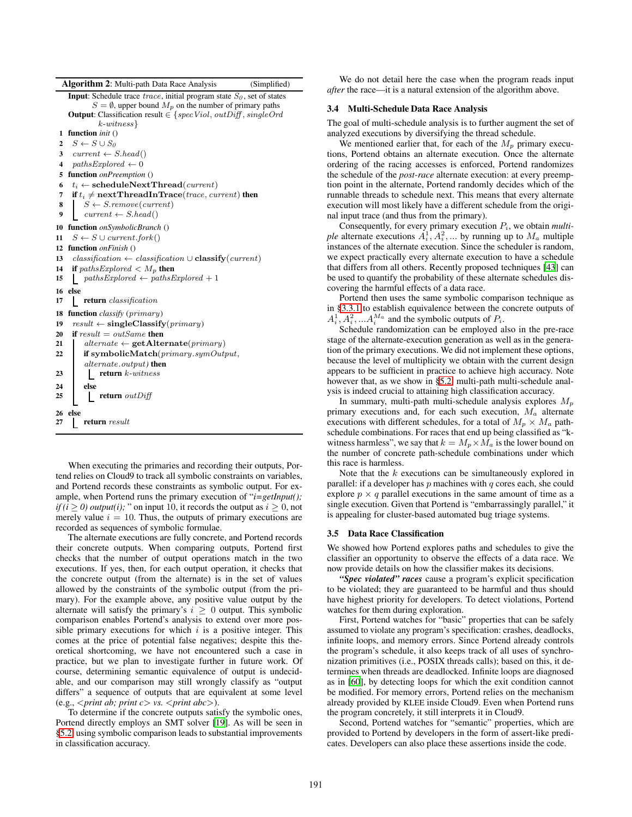<span id="page-6-4"></span><span id="page-6-3"></span><span id="page-6-2"></span>

|          | <b>Algorithm 2:</b> Multi-path Data Race Analysis<br>(Simplified)                                                               |
|----------|---------------------------------------------------------------------------------------------------------------------------------|
|          | <b>Input:</b> Schedule trace <i>trace</i> , initial program state $S_0$ , set of states                                         |
|          | $S = \emptyset$ , upper bound $M_p$ on the number of primary paths                                                              |
|          | <b>Output:</b> Classification result $\in$ { <i>specViol, outDiff, singleOrd</i>                                                |
|          | $k \text{-}witness$                                                                                                             |
| 1        | function <i>init</i> ()                                                                                                         |
| 2        | $S \leftarrow S \cup S_0$                                                                                                       |
| 3        | $current \leftarrow S.\text{head}()$                                                                                            |
| 4        | $pathsExplored \leftarrow 0$                                                                                                    |
| 5<br>6   | function <i>onPreemption</i> ()                                                                                                 |
| 7        | $t_i \leftarrow \textbf{scheduleNextThread}(current)$<br>if $t_i \neq$ next ThreadInTrace( <i>trace</i> , <i>current</i> ) then |
| 8        | $S \leftarrow S$ . remove(current)                                                                                              |
| 9        | $current \leftarrow S.head()$                                                                                                   |
|          |                                                                                                                                 |
| 10       | <b>function</b> onSymbolicBranch ()                                                                                             |
| 11       | $S \leftarrow S \cup current.fork()$<br><b>function</b> <i>on Finish</i> $()$                                                   |
| 12       |                                                                                                                                 |
| 13       | $classification \leftarrow classification \cup \text{classify}(current)$                                                        |
| 14<br>15 | if paths Explored $\langle M_p \rangle$ then<br>$pathsExplored \leftarrow pathsExplored + 1$                                    |
|          |                                                                                                                                 |
| 16       | else                                                                                                                            |
| 17       | <b>return</b> <i>classification</i>                                                                                             |
| 18       | <b>function</b> <i>classify</i> ( <i>primary</i> )                                                                              |
| 19       | $result \leftarrow singleClassify(primary)$                                                                                     |
| 20       | if result $=$ outSame then                                                                                                      |
| 21       | $\mathit{alternate} \leftarrow \mathsf{getAlternate}(\mathit{primary})$                                                         |
| 22       | if symbolicMatch $(primary,symOutput,$<br><i>alternate.output</i> ) then                                                        |
| 23       | return $k$ -witness                                                                                                             |
|          |                                                                                                                                 |
| 24       | else                                                                                                                            |
| 25       | return <i>outDiff</i>                                                                                                           |
| 26       | else                                                                                                                            |
| 27       | <b>return</b> result                                                                                                            |
|          |                                                                                                                                 |

<span id="page-6-7"></span><span id="page-6-6"></span><span id="page-6-5"></span>When executing the primaries and recording their outputs, Portend relies on Cloud9 to track all symbolic constraints on variables, and Portend records these constraints as symbolic output. For example, when Portend runs the primary execution of "*i=getInput(); if* (*i*  $> 0$ ) *output*(*i*); " on input 10, it records the output as  $i > 0$ , not merely value  $i = 10$ . Thus, the outputs of primary executions are recorded as sequences of symbolic formulae.

The alternate executions are fully concrete, and Portend records their concrete outputs. When comparing outputs, Portend first checks that the number of output operations match in the two executions. If yes, then, for each output operation, it checks that the concrete output (from the alternate) is in the set of values allowed by the constraints of the symbolic output (from the primary). For the example above, any positive value output by the alternate will satisfy the primary's  $i > 0$  output. This symbolic comparison enables Portend's analysis to extend over more possible primary executions for which  $i$  is a positive integer. This comes at the price of potential false negatives; despite this theoretical shortcoming, we have not encountered such a case in practice, but we plan to investigate further in future work. Of course, determining semantic equivalence of output is undecidable, and our comparison may still wrongly classify as "output differs" a sequence of outputs that are equivalent at some level (e.g., <*print ab; print c*> *vs.* <*print abc*>).

To determine if the concrete outputs satisfy the symbolic ones, Portend directly employs an SMT solver [\[19\]](#page-13-21). As will be seen in [§5.2,](#page-8-0) using symbolic comparison leads to substantial improvements in classification accuracy.

We do not detail here the case when the program reads input *after* the race—it is a natural extension of the algorithm above.

#### <span id="page-6-0"></span>3.4 Multi-Schedule Data Race Analysis

The goal of multi-schedule analysis is to further augment the set of analyzed executions by diversifying the thread schedule.

We mentioned earlier that, for each of the  $M_p$  primary executions, Portend obtains an alternate execution. Once the alternate ordering of the racing accesses is enforced, Portend randomizes the schedule of the *post-race* alternate execution: at every preemption point in the alternate, Portend randomly decides which of the runnable threads to schedule next. This means that every alternate execution will most likely have a different schedule from the original input trace (and thus from the primary).

Consequently, for every primary execution  $P_i$ , we obtain *multiple* alternate executions  $A_i^1, A_i^2, ...$  by running up to  $M_a$  multiple instances of the alternate execution. Since the scheduler is random, we expect practically every alternate execution to have a schedule that differs from all others. Recently proposed techniques [\[43](#page-13-22)] can be used to quantify the probability of these alternate schedules discovering the harmful effects of a data race.

Portend then uses the same symbolic comparison technique as in [§3.3.1](#page-5-3) to establish equivalence between the concrete outputs of  $A_i^1, A_i^2, ... A_i^{M_a}$  and the symbolic outputs of  $P_i$ .

Schedule randomization can be employed also in the pre-race stage of the alternate-execution generation as well as in the generation of the primary executions. We did not implement these options, because the level of multiplicity we obtain with the current design appears to be sufficient in practice to achieve high accuracy. Note however that, as we show in [§5.2,](#page-8-0) multi-path multi-schedule analysis is indeed crucial to attaining high classification accuracy.

In summary, multi-path multi-schedule analysis explores  $M_p$ primary executions and, for each such execution,  $M_a$  alternate executions with different schedules, for a total of  $M_n \times M_a$  pathschedule combinations. For races that end up being classified as "kwitness harmless", we say that  $k = M_p \times M_a$  is the lower bound on the number of concrete path-schedule combinations under which this race is harmless.

Note that the  $k$  executions can be simultaneously explored in parallel: if a developer has  $p$  machines with  $q$  cores each, she could explore  $p \times q$  parallel executions in the same amount of time as a single execution. Given that Portend is "embarrassingly parallel," it is appealing for cluster-based automated bug triage systems.

## <span id="page-6-1"></span>3.5 Data Race Classification

We showed how Portend explores paths and schedules to give the classifier an opportunity to observe the effects of a data race. We now provide details on how the classifier makes its decisions.

*"Spec violated" races* cause a program's explicit specification to be violated; they are guaranteed to be harmful and thus should have highest priority for developers. To detect violations, Portend watches for them during exploration.

First, Portend watches for "basic" properties that can be safely assumed to violate any program's specification: crashes, deadlocks, infinite loops, and memory errors. Since Portend already controls the program's schedule, it also keeps track of all uses of synchronization primitives (i.e., POSIX threads calls); based on this, it determines when threads are deadlocked. Infinite loops are diagnosed as in [\[60](#page-13-13)], by detecting loops for which the exit condition cannot be modified. For memory errors, Portend relies on the mechanism already provided by KLEE inside Cloud9. Even when Portend runs the program concretely, it still interprets it in Cloud9.

Second, Portend watches for "semantic" properties, which are provided to Portend by developers in the form of assert-like predicates. Developers can also place these assertions inside the code.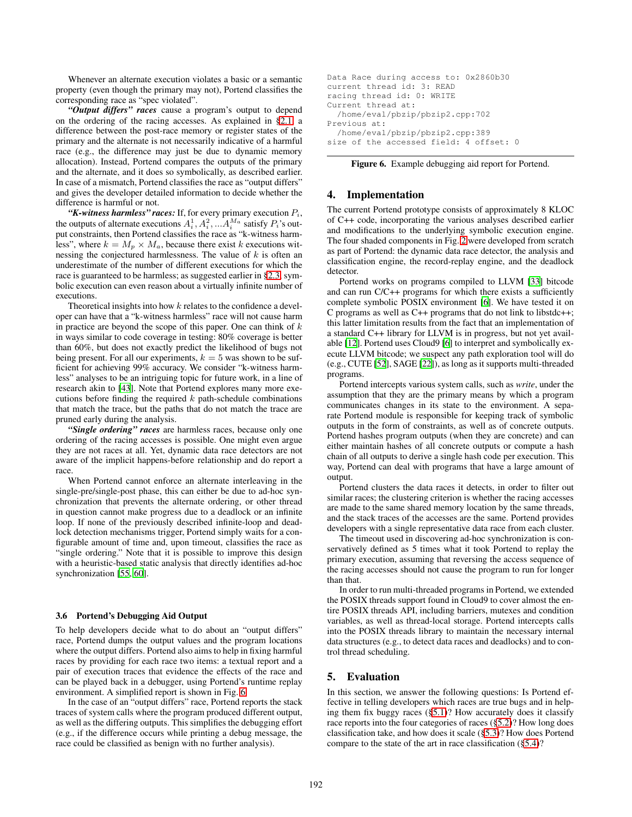Whenever an alternate execution violates a basic or a semantic property (even though the primary may not), Portend classifies the corresponding race as "spec violated".

*"Output differs" races* cause a program's output to depend on the ordering of the racing accesses. As explained in [§2.1,](#page-1-1) a difference between the post-race memory or register states of the primary and the alternate is not necessarily indicative of a harmful race (e.g., the difference may just be due to dynamic memory allocation). Instead, Portend compares the outputs of the primary and the alternate, and it does so symbolically, as described earlier. In case of a mismatch, Portend classifies the race as "output differs" and gives the developer detailed information to decide whether the difference is harmful or not.

 $\mathbf{W}$ -witness harmless" races: If, for every primary execution  $P_i$ , the outputs of alternate executions  $A_i^1, A_i^2, ... A_i^{M_a}$  satisfy  $P_i$ 's output constraints, then Portend classifies the race as "k-witness harmless", where  $k = M_p \times M_a$ , because there exist k executions witnessing the conjectured harmlessness. The value of  $k$  is often an underestimate of the number of different executions for which the race is guaranteed to be harmless; as suggested earlier in [§2.3,](#page-1-3) symbolic execution can even reason about a virtually infinite number of executions.

Theoretical insights into how  $k$  relates to the confidence a developer can have that a "k-witness harmless" race will not cause harm in practice are beyond the scope of this paper. One can think of  $k$ in ways similar to code coverage in testing: 80% coverage is better than 60%, but does not exactly predict the likelihood of bugs not being present. For all our experiments,  $k = 5$  was shown to be sufficient for achieving 99% accuracy. We consider "k-witness harmless" analyses to be an intriguing topic for future work, in a line of research akin to [\[43](#page-13-22)]. Note that Portend explores many more executions before finding the required  $k$  path-schedule combinations that match the trace, but the paths that do not match the trace are pruned early during the analysis.

*"Single ordering" races* are harmless races, because only one ordering of the racing accesses is possible. One might even argue they are not races at all. Yet, dynamic data race detectors are not aware of the implicit happens-before relationship and do report a race.

When Portend cannot enforce an alternate interleaving in the single-pre/single-post phase, this can either be due to ad-hoc synchronization that prevents the alternate ordering, or other thread in question cannot make progress due to a deadlock or an infinite loop. If none of the previously described infinite-loop and deadlock detection mechanisms trigger, Portend simply waits for a configurable amount of time and, upon timeout, classifies the race as "single ordering." Note that it is possible to improve this design with a heuristic-based static analysis that directly identifies ad-hoc synchronization [\[55](#page-13-8), [60\]](#page-13-13).

#### <span id="page-7-2"></span>3.6 Portend's Debugging Aid Output

To help developers decide what to do about an "output differs" race, Portend dumps the output values and the program locations where the output differs. Portend also aims to help in fixing harmful races by providing for each race two items: a textual report and a pair of execution traces that evidence the effects of the race and can be played back in a debugger, using Portend's runtime replay environment. A simplified report is shown in Fig. [6.](#page-7-3)

In the case of an "output differs" race, Portend reports the stack traces of system calls where the program produced different output, as well as the differing outputs. This simplifies the debugging effort (e.g., if the difference occurs while printing a debug message, the race could be classified as benign with no further analysis).

```
Data Race during access to: 0x2860b30
current thread id: 3: READ
racing thread id: 0: WRITE
Current thread at:
  /home/eval/pbzip/pbzip2.cpp:702
Previous at:
  /home/eval/pbzip/pbzip2.cpp:389
size of the accessed field: 4 offset: 0
```
<span id="page-7-3"></span>Figure 6. Example debugging aid report for Portend.

## <span id="page-7-0"></span>4. Implementation

The current Portend prototype consists of approximately 8 KLOC of C++ code, incorporating the various analyses described earlier and modifications to the underlying symbolic execution engine. The four shaded components in Fig. [2](#page-2-2) were developed from scratch as part of Portend: the dynamic data race detector, the analysis and classification engine, the record-replay engine, and the deadlock detector.

Portend works on programs compiled to LLVM [\[33](#page-13-10)] bitcode and can run C/C++ programs for which there exists a sufficiently complete symbolic POSIX environment [\[6\]](#page-12-3). We have tested it on C programs as well as C++ programs that do not link to libstdc++; this latter limitation results from the fact that an implementation of a standard C++ library for LLVM is in progress, but not yet available [\[12\]](#page-12-5). Portend uses Cloud9 [\[6\]](#page-12-3) to interpret and symbolically execute LLVM bitcode; we suspect any path exploration tool will do (e.g., CUTE [\[52](#page-13-23)], SAGE [\[22\]](#page-13-24)), as long as it supports multi-threaded programs.

Portend intercepts various system calls, such as *write*, under the assumption that they are the primary means by which a program communicates changes in its state to the environment. A separate Portend module is responsible for keeping track of symbolic outputs in the form of constraints, as well as of concrete outputs. Portend hashes program outputs (when they are concrete) and can either maintain hashes of all concrete outputs or compute a hash chain of all outputs to derive a single hash code per execution. This way, Portend can deal with programs that have a large amount of output.

Portend clusters the data races it detects, in order to filter out similar races; the clustering criterion is whether the racing accesses are made to the same shared memory location by the same threads, and the stack traces of the accesses are the same. Portend provides developers with a single representative data race from each cluster.

The timeout used in discovering ad-hoc synchronization is conservatively defined as 5 times what it took Portend to replay the primary execution, assuming that reversing the access sequence of the racing accesses should not cause the program to run for longer than that.

In order to run multi-threaded programs in Portend, we extended the POSIX threads support found in Cloud9 to cover almost the entire POSIX threads API, including barriers, mutexes and condition variables, as well as thread-local storage. Portend intercepts calls into the POSIX threads library to maintain the necessary internal data structures (e.g., to detect data races and deadlocks) and to control thread scheduling.

## <span id="page-7-1"></span>5. Evaluation

In this section, we answer the following questions: Is Portend effective in telling developers which races are true bugs and in helping them fix buggy races ([§5.1\)](#page-8-1)? How accurately does it classify race reports into the four categories of races ([§5.2\)](#page-8-0)? How long does classification take, and how does it scale ([§5.3\)](#page-9-0)? How does Portend compare to the state of the art in race classification ([§5.4\)](#page-10-0)?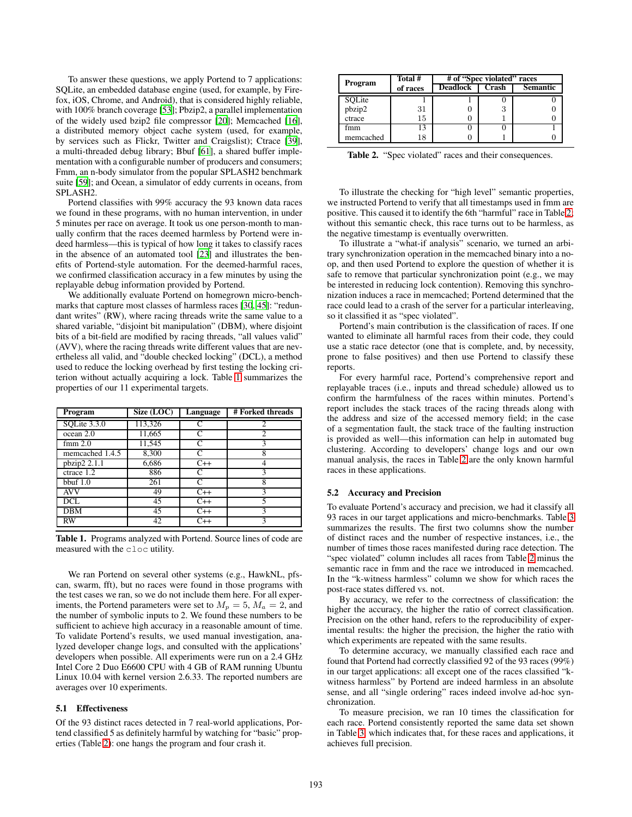To answer these questions, we apply Portend to 7 applications: SQLite, an embedded database engine (used, for example, by Firefox, iOS, Chrome, and Android), that is considered highly reliable, with 100% branch coverage [\[53](#page-13-25)]; Pbzip2, a parallel implementation of the widely used bzip2 file compressor [\[20](#page-13-26)]; Memcached [\[16\]](#page-13-27), a distributed memory object cache system (used, for example, by services such as Flickr, Twitter and Craigslist); Ctrace [\[39\]](#page-13-19), a multi-threaded debug library; Bbuf [\[61\]](#page-13-28), a shared buffer implementation with a configurable number of producers and consumers; Fmm, an n-body simulator from the popular SPLASH2 benchmark suite [\[59](#page-13-29)]; and Ocean, a simulator of eddy currents in oceans, from SPLASH2.

Portend classifies with 99% accuracy the 93 known data races we found in these programs, with no human intervention, in under 5 minutes per race on average. It took us one person-month to manually confirm that the races deemed harmless by Portend were indeed harmless—this is typical of how long it takes to classify races in the absence of an automated tool [\[23](#page-13-6)] and illustrates the benefits of Portend-style automation. For the deemed-harmful races, we confirmed classification accuracy in a few minutes by using the replayable debug information provided by Portend.

We additionally evaluate Portend on homegrown micro-benchmarks that capture most classes of harmless races [\[30,](#page-13-9) [45](#page-13-0)]: "redundant writes" (RW), where racing threads write the same value to a shared variable, "disjoint bit manipulation" (DBM), where disjoint bits of a bit-field are modified by racing threads, "all values valid" (AVV), where the racing threads write different values that are nevertheless all valid, and "double checked locking" (DCL), a method used to reduce the locking overhead by first testing the locking criterion without actually acquiring a lock. Table [1](#page-8-2) summarizes the properties of our 11 experimental targets.

| Program         | Size (LOC) | Language  | # Forked threads |
|-----------------|------------|-----------|------------------|
| SOLite 3.3.0    | 113,326    | ⊂         | $\mathfrak{D}$   |
| ocean 2.0       | 11,665     | С         | 2                |
| fmm 2.0         | 11,545     | C         | 3                |
| memcached 1.4.5 | 8,300      | $\subset$ | 8                |
| pbzip22.1.1     | 6,686      | $C++$     |                  |
| ctrace 1.2      | 886        | C         | 3                |
| bbuf $1.0$      | 261        | C         | 8                |
| <b>AVV</b>      | 49         | $C++$     | 3                |
| DCL             | 45         | $C++$     | 5                |
| <b>DBM</b>      | 45         | $C++$     | 3                |
| RW              | 42         | $C++$     | ٩                |

<span id="page-8-2"></span>Table 1. Programs analyzed with Portend. Source lines of code are measured with the cloc utility.

We ran Portend on several other systems (e.g., HawkNL, pfscan, swarm, fft), but no races were found in those programs with the test cases we ran, so we do not include them here. For all experiments, the Portend parameters were set to  $M_p = 5$ ,  $M_a = 2$ , and the number of symbolic inputs to 2. We found these numbers to be sufficient to achieve high accuracy in a reasonable amount of time. To validate Portend's results, we used manual investigation, analyzed developer change logs, and consulted with the applications' developers when possible. All experiments were run on a 2.4 GHz Intel Core 2 Duo E6600 CPU with 4 GB of RAM running Ubuntu Linux 10.04 with kernel version 2.6.33. The reported numbers are averages over 10 experiments.

#### <span id="page-8-1"></span>5.1 Effectiveness

Of the 93 distinct races detected in 7 real-world applications, Portend classified 5 as definitely harmful by watching for "basic" properties (Table [2\)](#page-8-3): one hangs the program and four crash it.

| Program                    | Total #  | # of "Spec violated" races |       |                 |  |
|----------------------------|----------|----------------------------|-------|-----------------|--|
|                            | of races | <b>Deadlock</b>            | Crash | <b>Semantic</b> |  |
| SQLite<br>pbzip2<br>ctrace |          |                            |       |                 |  |
|                            | 31       |                            |       |                 |  |
|                            | 15       |                            |       |                 |  |
| fmm                        | 13       |                            |       |                 |  |
| memcached                  | 18       |                            |       |                 |  |

<span id="page-8-3"></span>Table 2. "Spec violated" races and their consequences.

To illustrate the checking for "high level" semantic properties, we instructed Portend to verify that all timestamps used in fmm are positive. This caused it to identify the 6th "harmful" race in Table [2;](#page-8-3) without this semantic check, this race turns out to be harmless, as the negative timestamp is eventually overwritten.

To illustrate a "what-if analysis" scenario, we turned an arbitrary synchronization operation in the memcached binary into a noop, and then used Portend to explore the question of whether it is safe to remove that particular synchronization point (e.g., we may be interested in reducing lock contention). Removing this synchronization induces a race in memcached; Portend determined that the race could lead to a crash of the server for a particular interleaving, so it classified it as "spec violated".

Portend's main contribution is the classification of races. If one wanted to eliminate all harmful races from their code, they could use a static race detector (one that is complete, and, by necessity, prone to false positives) and then use Portend to classify these reports.

For every harmful race, Portend's comprehensive report and replayable traces (i.e., inputs and thread schedule) allowed us to confirm the harmfulness of the races within minutes. Portend's report includes the stack traces of the racing threads along with the address and size of the accessed memory field; in the case of a segmentation fault, the stack trace of the faulting instruction is provided as well—this information can help in automated bug clustering. According to developers' change logs and our own manual analysis, the races in Table [2](#page-8-3) are the only known harmful races in these applications.

#### <span id="page-8-0"></span>5.2 Accuracy and Precision

To evaluate Portend's accuracy and precision, we had it classify all 93 races in our target applications and micro-benchmarks. Table [3](#page-9-1) summarizes the results. The first two columns show the number of distinct races and the number of respective instances, i.e., the number of times those races manifested during race detection. The "spec violated" column includes all races from Table [2](#page-8-3) minus the semantic race in fmm and the race we introduced in memcached. In the "k-witness harmless" column we show for which races the post-race states differed vs. not.

By accuracy, we refer to the correctness of classification: the higher the accuracy, the higher the ratio of correct classification. Precision on the other hand, refers to the reproducibility of experimental results: the higher the precision, the higher the ratio with which experiments are repeated with the same results.

To determine accuracy, we manually classified each race and found that Portend had correctly classified 92 of the 93 races (99%) in our target applications: all except one of the races classified "kwitness harmless" by Portend are indeed harmless in an absolute sense, and all "single ordering" races indeed involve ad-hoc synchronization.

To measure precision, we ran 10 times the classification for each race. Portend consistently reported the same data set shown in Table [3,](#page-9-1) which indicates that, for these races and applications, it achieves full precision.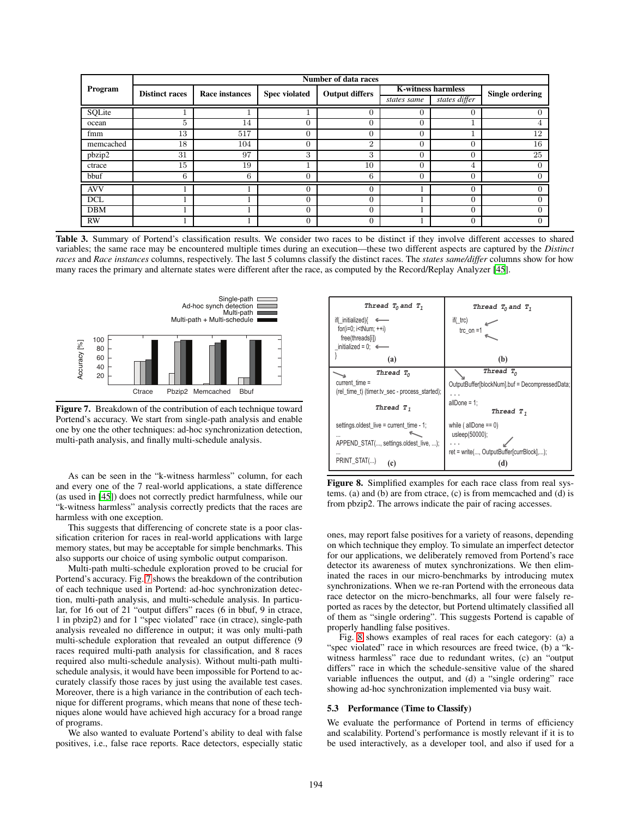|            |                       | Number of data races  |                      |                       |                           |               |                 |  |  |
|------------|-----------------------|-----------------------|----------------------|-----------------------|---------------------------|---------------|-----------------|--|--|
| Program    | <b>Distinct races</b> | <b>Race instances</b> | <b>Spec violated</b> | <b>Output differs</b> | <b>K-witness harmless</b> |               | Single ordering |  |  |
|            |                       |                       |                      |                       | states same               | states differ |                 |  |  |
| SQLite     |                       |                       |                      | $\mathbf 0$           | $\mathbf 0$               | $\Omega$      |                 |  |  |
| ocean      | 5                     | 14                    | $\overline{0}$       | $\overline{0}$        | $\theta$                  |               |                 |  |  |
| fmm        | 13                    | 517                   | $\overline{0}$       | $\overline{0}$        | $\theta$                  |               | 12              |  |  |
| memcached  | 18                    | 104                   | $\Omega$             | $\overline{2}$        | $\Omega$                  | $\Omega$      | 16              |  |  |
| pbzip2     | 31                    | 97                    | 3                    | 3                     | $\theta$                  | $\Omega$      | 25              |  |  |
| ctrace     | 15                    | 19                    | ٠                    | 10                    | $\Omega$                  | 4             |                 |  |  |
| bbuf       | 6                     | 6                     | $\theta$             | 6                     | $\Omega$                  | $\Omega$      |                 |  |  |
| <b>AVV</b> |                       |                       | $\Omega$             | $\Omega$              |                           |               |                 |  |  |
| <b>DCL</b> |                       |                       | $\Omega$             | $\theta$              |                           |               |                 |  |  |
| <b>DBM</b> |                       |                       | $\Omega$             | $\Omega$              |                           | $\Omega$      |                 |  |  |
| <b>RW</b>  |                       |                       | $\theta$             | $\overline{0}$        |                           | $\Omega$      | 0               |  |  |

<span id="page-9-1"></span>Table 3. Summary of Portend's classification results. We consider two races to be distinct if they involve different accesses to shared variables; the same race may be encountered multiple times during an execution—these two different aspects are captured by the *Distinct races* and *Race instances* columns, respectively. The last 5 columns classify the distinct races. The *states same/differ* columns show for how many races the primary and alternate states were different after the race, as computed by the Record/Replay Analyzer [\[45\]](#page-13-0).



<span id="page-9-2"></span>Figure 7. Breakdown of the contribution of each technique toward Portend's accuracy. We start from single-path analysis and enable one by one the other techniques: ad-hoc synchronization detection, multi-path analysis, and finally multi-schedule analysis.

As can be seen in the "k-witness harmless" column, for each and every one of the 7 real-world applications, a state difference (as used in [\[45](#page-13-0)]) does not correctly predict harmfulness, while our "k-witness harmless" analysis correctly predicts that the races are harmless with one exception.

This suggests that differencing of concrete state is a poor classification criterion for races in real-world applications with large memory states, but may be acceptable for simple benchmarks. This also supports our choice of using symbolic output comparison.

Multi-path multi-schedule exploration proved to be crucial for Portend's accuracy. Fig. [7](#page-9-2) shows the breakdown of the contribution of each technique used in Portend: ad-hoc synchronization detection, multi-path analysis, and multi-schedule analysis. In particular, for 16 out of 21 "output differs" races (6 in bbuf, 9 in ctrace, 1 in pbzip2) and for 1 "spec violated" race (in ctrace), single-path analysis revealed no difference in output; it was only multi-path multi-schedule exploration that revealed an output difference (9 races required multi-path analysis for classification, and 8 races required also multi-schedule analysis). Without multi-path multischedule analysis, it would have been impossible for Portend to accurately classify those races by just using the available test cases. Moreover, there is a high variance in the contribution of each technique for different programs, which means that none of these techniques alone would have achieved high accuracy for a broad range of programs.

We also wanted to evaluate Portend's ability to deal with false positives, i.e., false race reports. Race detectors, especially static



<span id="page-9-3"></span>Figure 8. Simplified examples for each race class from real systems. (a) and (b) are from ctrace, (c) is from memcached and (d) is from pbzip2. The arrows indicate the pair of racing accesses.

ones, may report false positives for a variety of reasons, depending on which technique they employ. To simulate an imperfect detector for our applications, we deliberately removed from Portend's race detector its awareness of mutex synchronizations. We then eliminated the races in our micro-benchmarks by introducing mutex synchronizations. When we re-ran Portend with the erroneous data race detector on the micro-benchmarks, all four were falsely reported as races by the detector, but Portend ultimately classified all of them as "single ordering". This suggests Portend is capable of properly handling false positives.

Fig. [8](#page-9-3) shows examples of real races for each category: (a) a "spec violated" race in which resources are freed twice, (b) a "kwitness harmless" race due to redundant writes, (c) an "output differs" race in which the schedule-sensitive value of the shared variable influences the output, and (d) a "single ordering" race showing ad-hoc synchronization implemented via busy wait.

#### <span id="page-9-0"></span>5.3 Performance (Time to Classify)

We evaluate the performance of Portend in terms of efficiency and scalability. Portend's performance is mostly relevant if it is to be used interactively, as a developer tool, and also if used for a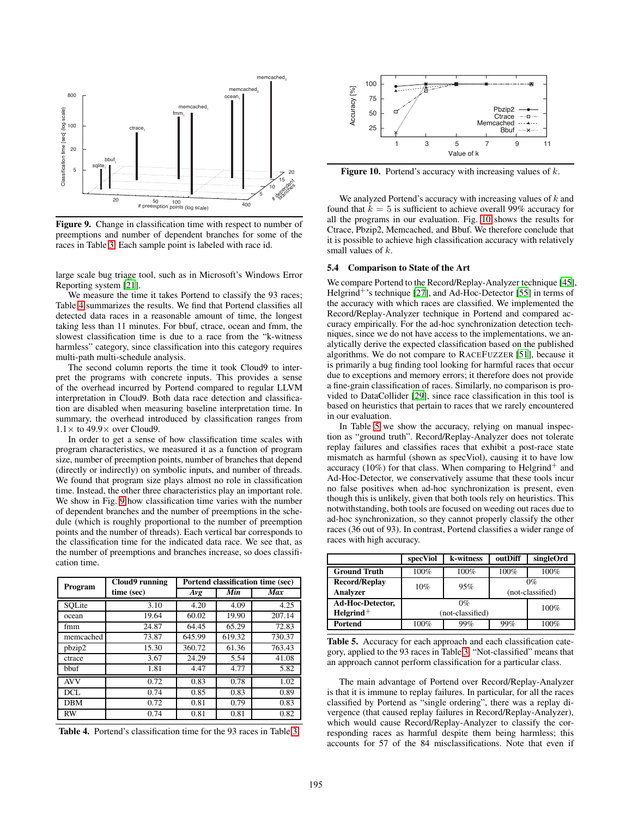

<span id="page-10-2"></span>Figure 9. Change in classification time with respect to number of preemptions and number of dependent branches for some of the races in Table [3.](#page-9-1) Each sample point is labeled with race id.

large scale bug triage tool, such as in Microsoft's Windows Error Reporting system [\[21](#page-13-30)].

We measure the time it takes Portend to classify the 93 races; Table [4](#page-10-1) summarizes the results. We find that Portend classifies all detected data races in a reasonable amount of time, the longest taking less than 11 minutes. For bbuf, ctrace, ocean and fmm, the slowest classification time is due to a race from the "k-witness harmless" category, since classification into this category requires multi-path multi-schedule analysis.

The second column reports the time it took Cloud9 to interpret the programs with concrete inputs. This provides a sense of the overhead incurred by Portend compared to regular LLVM interpretation in Cloud9. Both data race detection and classification are disabled when measuring baseline interpretation time. In summary, the overhead introduced by classification ranges from  $1.1 \times$  to 49.9 $\times$  over Cloud9.

In order to get a sense of how classification time scales with program characteristics, we measured it as a function of program size, number of preemption points, number of branches that depend (directly or indirectly) on symbolic inputs, and number of threads. We found that program size plays almost no role in classification time. Instead, the other three characteristics play an important role. We show in Fig. [9](#page-10-2) how classification time varies with the number of dependent branches and the number of preemptions in the schedule (which is roughly proportional to the number of preemption points and the number of threads). Each vertical bar corresponds to the classification time for the indicated data race. We see that, as the number of preemptions and branches increase, so does classification time.

| Program    | Cloud9 running | Portend classification time (sec) |        |            |  |
|------------|----------------|-----------------------------------|--------|------------|--|
|            | time (sec)     | Avg                               | Min    | <b>Max</b> |  |
| SOLite     | 3.10           | 4.20                              | 4.09   | 4.25       |  |
| ocean      | 19.64          | 60.02                             | 19.90  | 207.14     |  |
| fmm        | 24.87          | 64.45                             | 65.29  | 72.83      |  |
| memcached  | 73.87          | 645.99                            | 619.32 | 730.37     |  |
| pbzip2     | 15.30          | 360.72                            | 61.36  | 763.43     |  |
| ctrace     | 3.67           | 24.29                             | 5.54   | 41.08      |  |
| bbuf       | 1.81           | 4.47                              | 4.77   | 5.82       |  |
| <b>AVV</b> | 0.72           | 0.83                              | 0.78   | 1.02       |  |
| DCL        | 0.74           | 0.85                              | 0.83   | 0.89       |  |
| <b>DBM</b> | 0.72           | 0.81                              | 0.79   | 0.83       |  |
| RW         | 0.74           | 0.81                              | 0.81   | 0.82       |  |

<span id="page-10-1"></span>Table 4. Portend's classification time for the 93 races in Table [3.](#page-9-1)



<span id="page-10-3"></span>**Figure 10.** Portend's accuracy with increasing values of  $k$ .

We analyzed Portend's accuracy with increasing values of  $k$  and found that  $k = 5$  is sufficient to achieve overall 99% accuracy for all the programs in our evaluation. Fig. [10](#page-10-3) shows the results for Ctrace, Pbzip2, Memcached, and Bbuf. We therefore conclude that it is possible to achieve high classification accuracy with relatively small values of  $k$ .

#### <span id="page-10-0"></span>5.4 Comparison to State of the Art

We compare Portend to the Record/Replay-Analyzer technique [\[45\]](#page-13-0), Helgrind<sup>+</sup>'s technique [\[27](#page-13-7)], and Ad-Hoc-Detector [\[55\]](#page-13-8) in terms of the accuracy with which races are classified. We implemented the Record/Replay-Analyzer technique in Portend and compared accuracy empirically. For the ad-hoc synchronization detection techniques, since we do not have access to the implementations, we analytically derive the expected classification based on the published algorithms. We do not compare to RACEFUZZER [\[51\]](#page-13-31), because it is primarily a bug finding tool looking for harmful races that occur due to exceptions and memory errors; it therefore does not provide a fine-grain classification of races. Similarly, no comparison is provided to DataCollider [\[29\]](#page-13-4), since race classification in this tool is based on heuristics that pertain to races that we rarely encountered in our evaluation.

In Table [5](#page-10-4) we show the accuracy, relying on manual inspection as "ground truth". Record/Replay-Analyzer does not tolerate replay failures and classifies races that exhibit a post-race state mismatch as harmful (shown as specViol), causing it to have low accuracy (10%) for that class. When comparing to Helgrind<sup>+</sup> and Ad-Hoc-Detector, we conservatively assume that these tools incur no false positives when ad-hoc synchronization is present, even though this is unlikely, given that both tools rely on heuristics. This notwithstanding, both tools are focused on weeding out races due to ad-hoc synchronization, so they cannot properly classify the other races (36 out of 93). In contrast, Portend classifies a wider range of races with high accuracy.

|                  |      | outDiff          | singleOrd |
|------------------|------|------------------|-----------|
| 100%             | 100% | 100%             | 100%      |
|                  | 95%  | $0\%$            |           |
|                  |      | (not-classified) |           |
| $0\%$            |      |                  | $100\%$   |
| (not-classified) |      |                  |           |
| 100%             | 99%  | 99%              | 100%      |
|                  | 10%  |                  |           |

<span id="page-10-4"></span>Table 5. Accuracy for each approach and each classification category, applied to the 93 races in Table [3.](#page-9-1) "Not-classified" means that an approach cannot perform classification for a particular class.

The main advantage of Portend over Record/Replay-Analyzer is that it is immune to replay failures. In particular, for all the races classified by Portend as "single ordering", there was a replay divergence (that caused replay failures in Record/Replay-Analyzer), which would cause Record/Replay-Analyzer to classify the corresponding races as harmful despite them being harmless; this accounts for 57 of the 84 misclassifications. Note that even if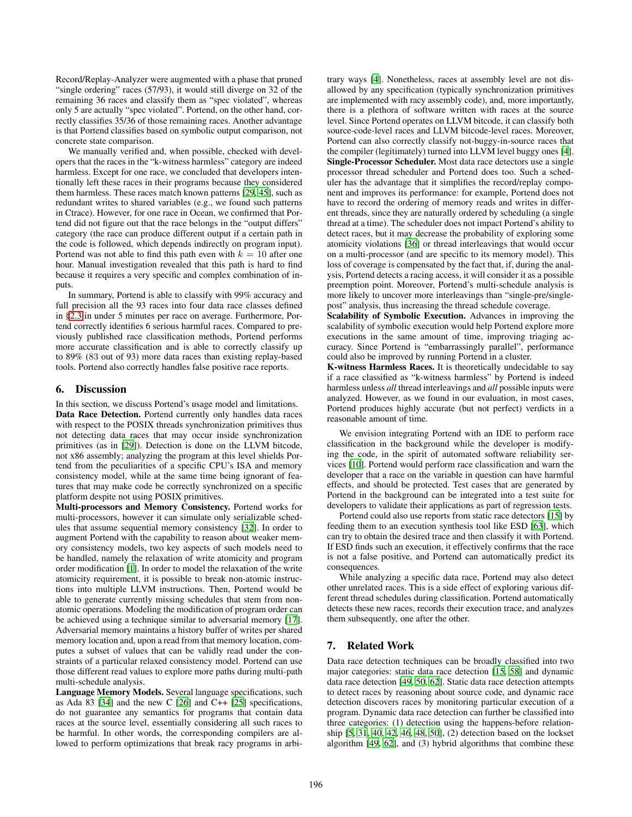Record/Replay-Analyzer were augmented with a phase that pruned "single ordering" races (57/93), it would still diverge on 32 of the remaining 36 races and classify them as "spec violated", whereas only 5 are actually "spec violated". Portend, on the other hand, correctly classifies 35/36 of those remaining races. Another advantage is that Portend classifies based on symbolic output comparison, not concrete state comparison.

We manually verified and, when possible, checked with developers that the races in the "k-witness harmless" category are indeed harmless. Except for one race, we concluded that developers intentionally left these races in their programs because they considered them harmless. These races match known patterns [\[29,](#page-13-4) [45\]](#page-13-0), such as redundant writes to shared variables (e.g., we found such patterns in Ctrace). However, for one race in Ocean, we confirmed that Portend did not figure out that the race belongs in the "output differs" category (the race can produce different output if a certain path in the code is followed, which depends indirectly on program input). Portend was not able to find this path even with  $k = 10$  after one hour. Manual investigation revealed that this path is hard to find because it requires a very specific and complex combination of inputs.

In summary, Portend is able to classify with 99% accuracy and full precision all the 93 races into four data race classes defined in [§2.3](#page-1-3) in under 5 minutes per race on average. Furthermore, Portend correctly identifies 6 serious harmful races. Compared to previously published race classification methods, Portend performs more accurate classification and is able to correctly classify up to 89% (83 out of 93) more data races than existing replay-based tools. Portend also correctly handles false positive race reports.

# <span id="page-11-0"></span>6. Discussion

In this section, we discuss Portend's usage model and limitations. Data Race Detection. Portend currently only handles data races with respect to the POSIX threads synchronization primitives thus not detecting data races that may occur inside synchronization primitives (as in [\[29\]](#page-13-4)). Detection is done on the LLVM bitcode, not x86 assembly; analyzing the program at this level shields Portend from the peculiarities of a specific CPU's ISA and memory consistency model, while at the same time being ignorant of features that may make code be correctly synchronized on a specific platform despite not using POSIX primitives.

Multi-processors and Memory Consistency. Portend works for multi-processors, however it can simulate only serializable schedules that assume sequential memory consistency [\[32\]](#page-13-32). In order to augment Portend with the capability to reason about weaker memory consistency models, two key aspects of such models need to be handled, namely the relaxation of write atomicity and program order modification [\[1\]](#page-12-6). In order to model the relaxation of the write atomicity requirement, it is possible to break non-atomic instructions into multiple LLVM instructions. Then, Portend would be able to generate currently missing schedules that stem from nonatomic operations. Modeling the modification of program order can be achieved using a technique similar to adversarial memory [\[17\]](#page-13-33). Adversarial memory maintains a history buffer of writes per shared memory location and, upon a read from that memory location, computes a subset of values that can be validly read under the constraints of a particular relaxed consistency model. Portend can use those different read values to explore more paths during multi-path multi-schedule analysis.

Language Memory Models. Several language specifications, such as Ada 83 [\[34\]](#page-13-34) and the new C  $[26]$  and C++  $[25]$  specifications, do not guarantee any semantics for programs that contain data races at the source level, essentially considering all such races to be harmful. In other words, the corresponding compilers are allowed to perform optimizations that break racy programs in arbitrary ways [\[4](#page-12-7)]. Nonetheless, races at assembly level are not disallowed by any specification (typically synchronization primitives are implemented with racy assembly code), and, more importantly, there is a plethora of software written with races at the source level. Since Portend operates on LLVM bitcode, it can classify both source-code-level races and LLVM bitcode-level races. Moreover, Portend can also correctly classify not-buggy-in-source races that the compiler (legitimately) turned into LLVM level buggy ones [\[4\]](#page-12-7). Single-Processor Scheduler. Most data race detectors use a single processor thread scheduler and Portend does too. Such a scheduler has the advantage that it simplifies the record/replay component and improves its performance: for example, Portend does not have to record the ordering of memory reads and writes in different threads, since they are naturally ordered by scheduling (a single thread at a time). The scheduler does not impact Portend's ability to detect races, but it may decrease the probability of exploring some atomicity violations [\[36](#page-13-35)] or thread interleavings that would occur on a multi-processor (and are specific to its memory model). This loss of coverage is compensated by the fact that, if, during the analysis, Portend detects a racing access, it will consider it as a possible preemption point. Moreover, Portend's multi-schedule analysis is more likely to uncover more interleavings than "single-pre/singlepost" analysis, thus increasing the thread schedule coverage.

Scalability of Symbolic Execution. Advances in improving the scalability of symbolic execution would help Portend explore more executions in the same amount of time, improving triaging accuracy. Since Portend is "embarrassingly parallel", performance could also be improved by running Portend in a cluster.

K-witness Harmless Races. It is theoretically undecidable to say if a race classified as "k-witness harmless" by Portend is indeed harmless unless *all* thread interleavings and *all* possible inputs were analyzed. However, as we found in our evaluation, in most cases, Portend produces highly accurate (but not perfect) verdicts in a reasonable amount of time.

We envision integrating Portend with an IDE to perform race classification in the background while the developer is modifying the code, in the spirit of automated software reliability services [\[10\]](#page-12-8). Portend would perform race classification and warn the developer that a race on the variable in question can have harmful effects, and should be protected. Test cases that are generated by Portend in the background can be integrated into a test suite for developers to validate their applications as part of regression tests.

Portend could also use reports from static race detectors [\[15](#page-12-0)] by feeding them to an execution synthesis tool like ESD [\[63](#page-13-36)], which can try to obtain the desired trace and then classify it with Portend. If ESD finds such an execution, it effectively confirms that the race is not a false positive, and Portend can automatically predict its consequences.

While analyzing a specific data race, Portend may also detect other unrelated races. This is a side effect of exploring various different thread schedules during classification. Portend automatically detects these new races, records their execution trace, and analyzes them subsequently, one after the other.

# <span id="page-11-1"></span>7. Related Work

Data race detection techniques can be broadly classified into two major categories: static data race detection [\[15,](#page-12-0) [58](#page-13-5)] and dynamic data race detection [\[49,](#page-13-14) [50](#page-13-16), [62\]](#page-13-37). Static data race detection attempts to detect races by reasoning about source code, and dynamic race detection discovers races by monitoring particular execution of a program. Dynamic data race detection can further be classified into three categories: (1) detection using the happens-before relationship [\[5](#page-12-9), [31](#page-13-17), [40,](#page-13-38) [42,](#page-13-39) [46,](#page-13-40) [48,](#page-13-41) [50\]](#page-13-16), (2) detection based on the lockset algorithm [\[49,](#page-13-14) [62](#page-13-37)], and (3) hybrid algorithms that combine these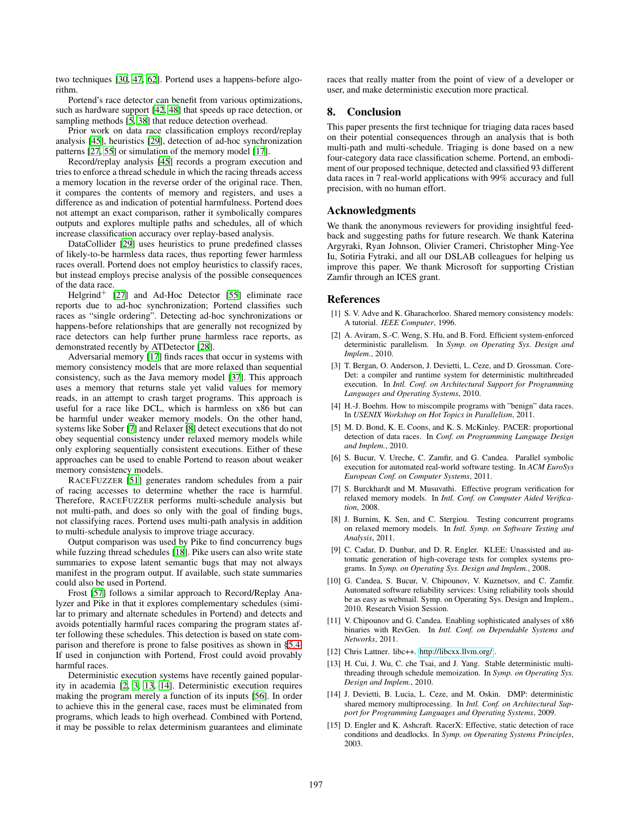two techniques [\[30,](#page-13-9) [47,](#page-13-15) [62](#page-13-37)]. Portend uses a happens-before algorithm.

Portend's race detector can benefit from various optimizations, such as hardware support [\[42](#page-13-39), [48\]](#page-13-41) that speeds up race detection, or sampling methods [\[5](#page-12-9), [38\]](#page-13-42) that reduce detection overhead.

Prior work on data race classification employs record/replay analysis [\[45\]](#page-13-0), heuristics [\[29\]](#page-13-4), detection of ad-hoc synchronization patterns [\[27](#page-13-7), [55](#page-13-8)] or simulation of the memory model [\[17\]](#page-13-33).

Record/replay analysis [\[45](#page-13-0)] records a program execution and tries to enforce a thread schedule in which the racing threads access a memory location in the reverse order of the original race. Then, it compares the contents of memory and registers, and uses a difference as and indication of potential harmfulness. Portend does not attempt an exact comparison, rather it symbolically compares outputs and explores multiple paths and schedules, all of which increase classification accuracy over replay-based analysis.

DataCollider [\[29\]](#page-13-4) uses heuristics to prune predefined classes of likely-to-be harmless data races, thus reporting fewer harmless races overall. Portend does not employ heuristics to classify races, but instead employs precise analysis of the possible consequences of the data race.

Helgrind<sup>+</sup> [\[27](#page-13-7)] and Ad-Hoc Detector [\[55\]](#page-13-8) eliminate race reports due to ad-hoc synchronization; Portend classifies such races as "single ordering". Detecting ad-hoc synchronizations or happens-before relationships that are generally not recognized by race detectors can help further prune harmless race reports, as demonstrated recently by ATDetector [\[28\]](#page-13-43).

Adversarial memory [\[17\]](#page-13-33) finds races that occur in systems with memory consistency models that are more relaxed than sequential consistency, such as the Java memory model [\[37](#page-13-44)]. This approach uses a memory that returns stale yet valid values for memory reads, in an attempt to crash target programs. This approach is useful for a race like DCL, which is harmless on x86 but can be harmful under weaker memory models. On the other hand, systems like Sober [\[7\]](#page-12-10) and Relaxer [\[8\]](#page-12-11) detect executions that do not obey sequential consistency under relaxed memory models while only exploring sequentially consistent executions. Either of these approaches can be used to enable Portend to reason about weaker memory consistency models.

RACEFUZZER [\[51](#page-13-31)] generates random schedules from a pair of racing accesses to determine whether the race is harmful. Therefore, RACEFUZZER performs multi-schedule analysis but not multi-path, and does so only with the goal of finding bugs, not classifying races. Portend uses multi-path analysis in addition to multi-schedule analysis to improve triage accuracy.

Output comparison was used by Pike to find concurrency bugs while fuzzing thread schedules [\[18\]](#page-13-45). Pike users can also write state summaries to expose latent semantic bugs that may not always manifest in the program output. If available, such state summaries could also be used in Portend.

Frost [\[57\]](#page-13-46) follows a similar approach to Record/Replay Analyzer and Pike in that it explores complementary schedules (similar to primary and alternate schedules in Portend) and detects and avoids potentially harmful races comparing the program states after following these schedules. This detection is based on state comparison and therefore is prone to false positives as shown in [§5.4.](#page-10-0) If used in conjunction with Portend, Frost could avoid provably harmful races.

Deterministic execution systems have recently gained popularity in academia [\[2](#page-12-12), [3,](#page-12-13) [13,](#page-12-14) [14](#page-12-15)]. Deterministic execution requires making the program merely a function of its inputs [\[56\]](#page-13-47). In order to achieve this in the general case, races must be eliminated from programs, which leads to high overhead. Combined with Portend, it may be possible to relax determinism guarantees and eliminate races that really matter from the point of view of a developer or user, and make deterministic execution more practical.

## <span id="page-12-2"></span>8. Conclusion

This paper presents the first technique for triaging data races based on their potential consequences through an analysis that is both multi-path and multi-schedule. Triaging is done based on a new four-category data race classification scheme. Portend, an embodiment of our proposed technique, detected and classified 93 different data races in 7 real-world applications with 99% accuracy and full precision, with no human effort.

## Acknowledgments

We thank the anonymous reviewers for providing insightful feedback and suggesting paths for future research. We thank Katerina Argyraki, Ryan Johnson, Olivier Crameri, Christopher Ming-Yee Iu, Sotiria Fytraki, and all our DSLAB colleagues for helping us improve this paper. We thank Microsoft for supporting Cristian Zamfir through an ICES grant.

## References

- <span id="page-12-6"></span>[1] S. V. Adve and K. Gharachorloo. Shared memory consistency models: A tutorial. *IEEE Computer*, 1996.
- <span id="page-12-12"></span>[2] A. Aviram, S.-C. Weng, S. Hu, and B. Ford. Efficient system-enforced deterministic parallelism. In *Symp. on Operating Sys. Design and Implem.*, 2010.
- <span id="page-12-13"></span>[3] T. Bergan, O. Anderson, J. Devietti, L. Ceze, and D. Grossman, Core-Det: a compiler and runtime system for deterministic multithreaded execution. In *Intl. Conf. on Architectural Support for Programming Languages and Operating Systems*, 2010.
- <span id="page-12-7"></span>[4] H.-J. Boehm. How to miscompile programs with "benign" data races. In *USENIX Workshop on Hot Topics in Parallelism*, 2011.
- <span id="page-12-9"></span>[5] M. D. Bond, K. E. Coons, and K. S. McKinley. PACER: proportional detection of data races. In *Conf. on Programming Language Design and Implem.*, 2010.
- <span id="page-12-3"></span>[6] S. Bucur, V. Ureche, C. Zamfir, and G. Candea. Parallel symbolic execution for automated real-world software testing. In *ACM EuroSys European Conf. on Computer Systems*, 2011.
- <span id="page-12-10"></span>[7] S. Burckhardt and M. Musuvathi. Effective program verification for relaxed memory models. In *Intl. Conf. on Computer Aided Verification*, 2008.
- <span id="page-12-11"></span>[8] J. Burnim, K. Sen, and C. Stergiou. Testing concurrent programs on relaxed memory models. In *Intl. Symp. on Software Testing and Analysis*, 2011.
- <span id="page-12-4"></span>[9] C. Cadar, D. Dunbar, and D. R. Engler. KLEE: Unassisted and automatic generation of high-coverage tests for complex systems programs. In *Symp. on Operating Sys. Design and Implem.*, 2008.
- <span id="page-12-8"></span>[10] G. Candea, S. Bucur, V. Chipounov, V. Kuznetsov, and C. Zamfir. Automated software reliability services: Using reliability tools should be as easy as webmail. Symp. on Operating Sys. Design and Implem., 2010. Research Vision Session.
- <span id="page-12-1"></span>[11] V. Chipounov and G. Candea. Enabling sophisticated analyses of x86 binaries with RevGen. In *Intl. Conf. on Dependable Systems and Networks*, 2011.
- <span id="page-12-5"></span>[12] Chris Lattner. libc++.<http://libcxx.llvm.org/> .
- <span id="page-12-14"></span>[13] H. Cui, J. Wu, C. che Tsai, and J. Yang. Stable deterministic multithreading through schedule memoization. In *Symp. on Operating Sys. Design and Implem.*, 2010.
- <span id="page-12-15"></span>[14] J. Devietti, B. Lucia, L. Ceze, and M. Oskin. DMP: deterministic shared memory multiprocessing. In *Intl. Conf. on Architectural Support for Programming Languages and Operating Systems*, 2009.
- <span id="page-12-0"></span>[15] D. Engler and K. Ashcraft. RacerX: Effective, static detection of race conditions and deadlocks. In *Symp. on Operating Systems Principles*, 2003.